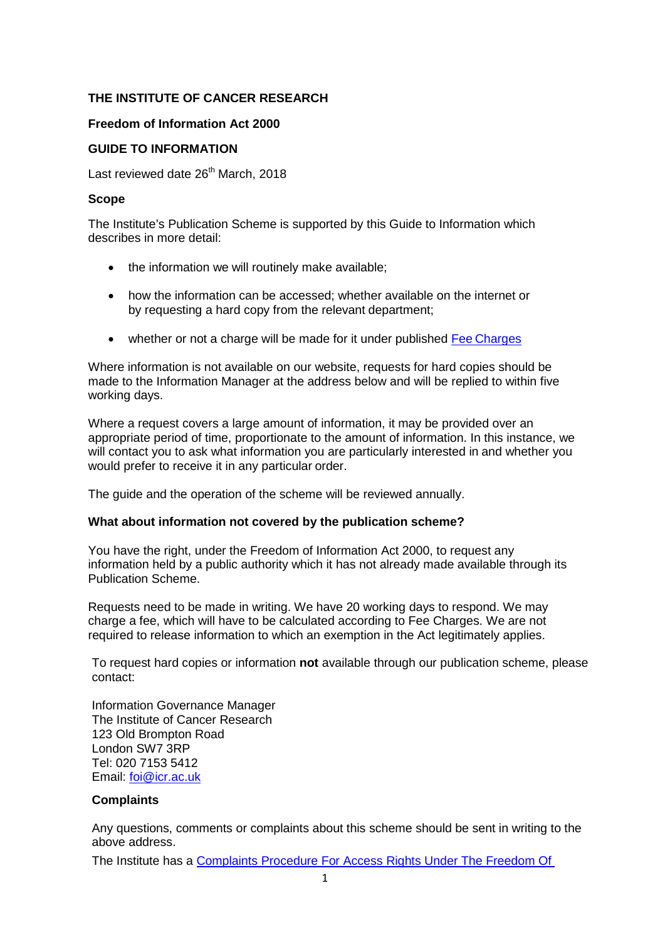## **THE INSTITUTE OF CANCER RESEARCH**

## **Freedom of Information Act 2000**

## **GUIDE TO INFORMATION**

Last reviewed date 26<sup>th</sup> March, 2018

#### **Scope**

The Institute's Publication Scheme is supported by this Guide to Information which describes in more detail:

- the information we will routinely make available;
- how the information can be accessed; whether available on the internet or by requesting a hard copy from the relevant department;
- whether or not a charge will be made for it under published Fee [Charges](http://www.icr.ac.uk/about-us/responsibility/freedom-of-information)

Where information is not available on our website, requests for hard copies should be made to the Information Manager at the address below and will be replied to within five working days.

Where a request covers a large amount of information, it may be provided over an appropriate period of time, proportionate to the amount of information. In this instance, we will contact you to ask what information you are particularly interested in and whether you would prefer to receive it in any particular order.

The guide and the operation of the scheme will be reviewed annually.

#### **What about information not covered by the publication scheme?**

You have the right, under the Freedom of Information Act 2000, to request any information held by a public authority which it has not already made available through its Publication Scheme.

Requests need to be made in writing. We have 20 working days to respond. We may charge a fee, which will have to be calculated according to Fee Charges. We are not required to release information to which an exemption in the Act legitimately applies.

To request hard copies or information **not** available through our publication scheme, please contact:

Information Governance Manager The Institute of Cancer Research 123 Old Brompton Road London SW7 3RP Tel: 020 7153 5412 Email: [foi@icr.ac.uk](mailto:foi@icr.ac.uk)

## **Complaints**

Any questions, comments or complaints about this scheme should be sent in writing to the above address.

The Institute has a [Complaints Procedure For Access Rights Under The Freedom Of](http://d1ijoxngr27nfi.cloudfront.net/corporate-docs-accounts-and-annual-reports/complaints-procedure.pdf?sfvrsn=4)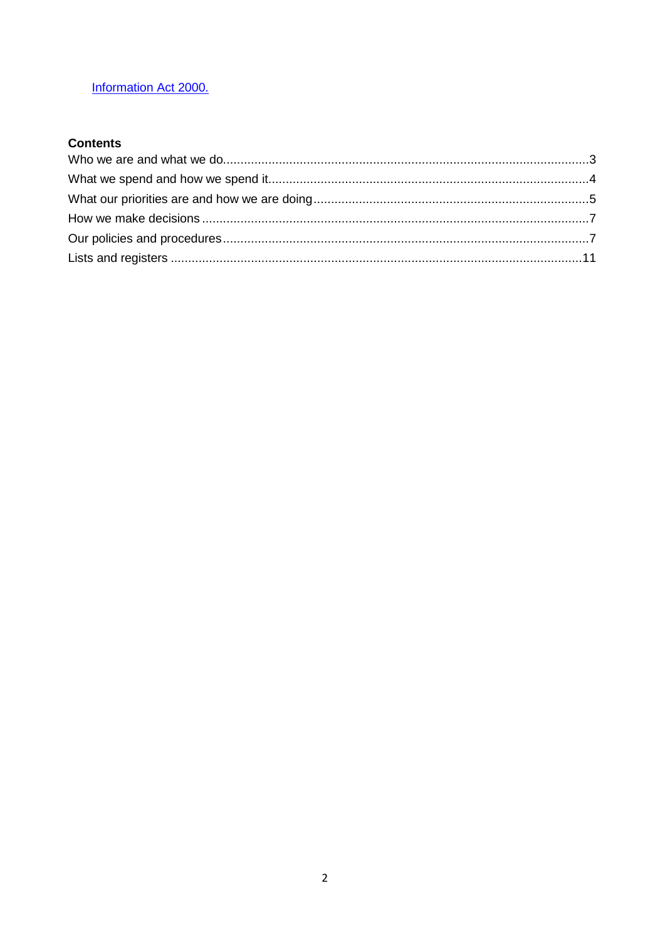# Information Act 2000.

# **Contents**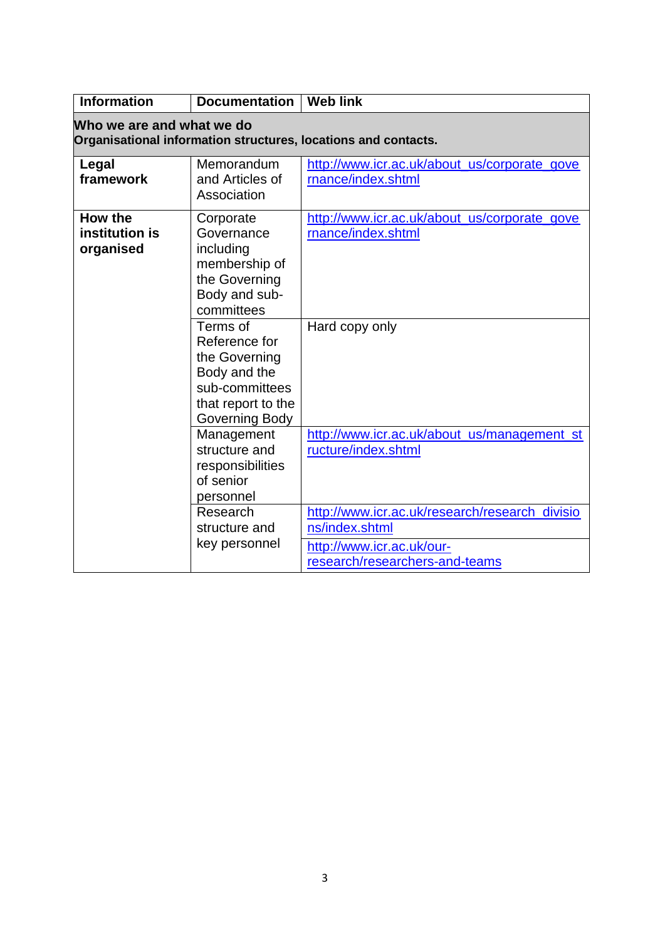<span id="page-2-0"></span>

| <b>Information</b>                     | <b>Documentation</b>                                                                                                 | <b>Web link</b>                                                                                                                 |
|----------------------------------------|----------------------------------------------------------------------------------------------------------------------|---------------------------------------------------------------------------------------------------------------------------------|
| Who we are and what we do              |                                                                                                                      | Organisational information structures, locations and contacts.                                                                  |
| Legal<br>framework                     | Memorandum<br>and Articles of<br>Association                                                                         | http://www.icr.ac.uk/about_us/corporate_gove<br>rnance/index.shtml                                                              |
| How the<br>institution is<br>organised | Corporate<br>Governance<br>including<br>membership of<br>the Governing<br>Body and sub-<br>committees                | http://www.icr.ac.uk/about_us/corporate_gove<br>rnance/index.shtml                                                              |
|                                        | Terms of<br>Reference for<br>the Governing<br>Body and the<br>sub-committees<br>that report to the<br>Governing Body | Hard copy only                                                                                                                  |
|                                        | Management<br>structure and<br>responsibilities<br>of senior<br>personnel                                            | http://www.icr.ac.uk/about_us/management_st<br>ructure/index.shtml                                                              |
|                                        | Research<br>structure and<br>key personnel                                                                           | http://www.icr.ac.uk/research/research_divisio<br>ns/index.shtml<br>http://www.icr.ac.uk/our-<br>research/researchers-and-teams |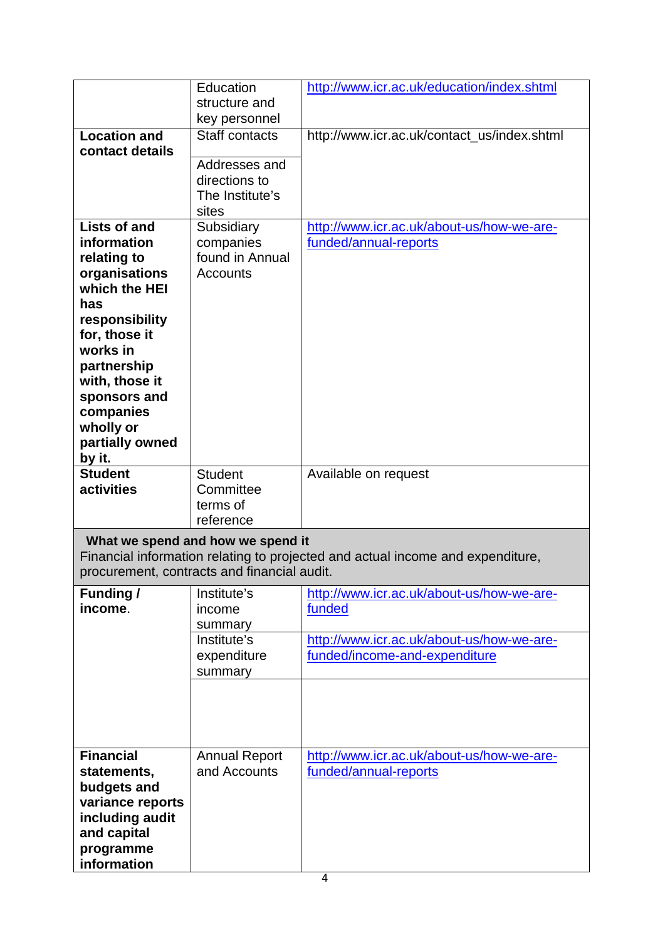<span id="page-3-0"></span>

|                                             | Education<br>structure and        | http://www.icr.ac.uk/education/index.shtml                                     |
|---------------------------------------------|-----------------------------------|--------------------------------------------------------------------------------|
|                                             | key personnel                     |                                                                                |
| <b>Location and</b>                         | <b>Staff contacts</b>             | http://www.icr.ac.uk/contact_us/index.shtml                                    |
| contact details                             |                                   |                                                                                |
|                                             | Addresses and<br>directions to    |                                                                                |
|                                             | The Institute's                   |                                                                                |
|                                             | sites                             |                                                                                |
| <b>Lists of and</b>                         | Subsidiary                        | http://www.icr.ac.uk/about-us/how-we-are-                                      |
| information                                 | companies<br>found in Annual      | funded/annual-reports                                                          |
| relating to<br>organisations                | <b>Accounts</b>                   |                                                                                |
| which the HEI                               |                                   |                                                                                |
| has                                         |                                   |                                                                                |
| responsibility                              |                                   |                                                                                |
| for, those it<br>works in                   |                                   |                                                                                |
| partnership                                 |                                   |                                                                                |
| with, those it                              |                                   |                                                                                |
| sponsors and                                |                                   |                                                                                |
| companies<br>wholly or                      |                                   |                                                                                |
| partially owned                             |                                   |                                                                                |
| by it.                                      |                                   |                                                                                |
| <b>Student</b>                              | <b>Student</b>                    | Available on request                                                           |
| activities                                  | Committee<br>terms of             |                                                                                |
|                                             | reference                         |                                                                                |
|                                             | What we spend and how we spend it |                                                                                |
|                                             |                                   | Financial information relating to projected and actual income and expenditure, |
| procurement, contracts and financial audit. |                                   |                                                                                |
| <b>Funding /</b>                            | Institute's                       | http://www.icr.ac.uk/about-us/how-we-are-                                      |
| income.                                     | income                            | funded                                                                         |
|                                             | summary<br>Institute's            | http://www.icr.ac.uk/about-us/how-we-are-                                      |
|                                             | expenditure                       | funded/income-and-expenditure                                                  |
|                                             | summary                           |                                                                                |
|                                             |                                   |                                                                                |
|                                             |                                   |                                                                                |
|                                             |                                   |                                                                                |
| <b>Financial</b>                            | <b>Annual Report</b>              | http://www.icr.ac.uk/about-us/how-we-are-                                      |
| statements,                                 | and Accounts                      | funded/annual-reports                                                          |
| budgets and                                 |                                   |                                                                                |
| variance reports<br>including audit         |                                   |                                                                                |
| and capital                                 |                                   |                                                                                |
| programme                                   |                                   |                                                                                |
| information                                 |                                   |                                                                                |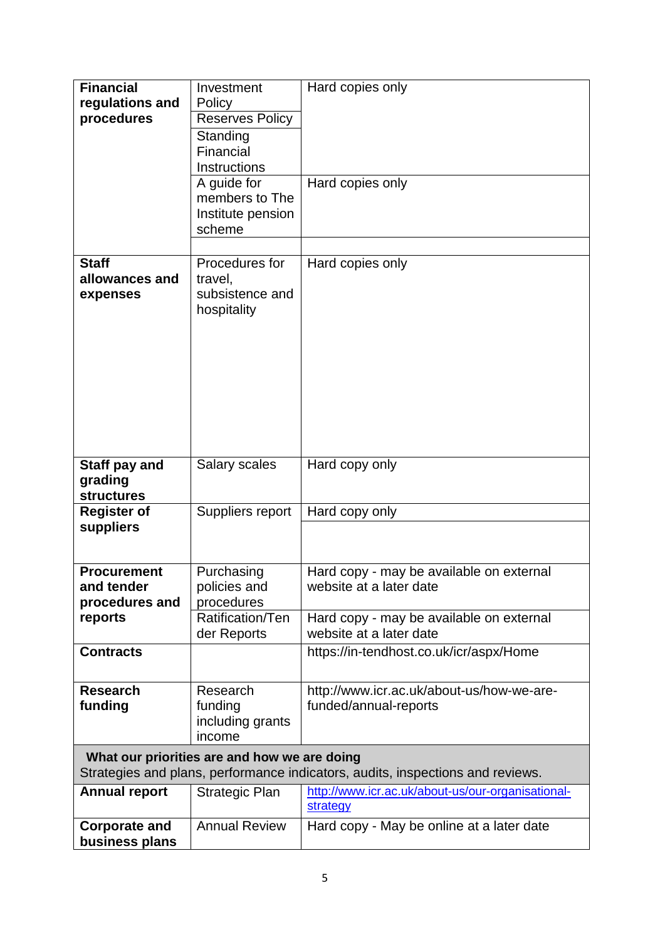<span id="page-4-0"></span>

| <b>Financial</b>                | Investment                                   | Hard copies only                                                               |
|---------------------------------|----------------------------------------------|--------------------------------------------------------------------------------|
| regulations and<br>procedures   | Policy                                       |                                                                                |
|                                 | <b>Reserves Policy</b>                       |                                                                                |
|                                 | Standing<br>Financial                        |                                                                                |
|                                 | Instructions                                 |                                                                                |
|                                 | A guide for                                  | Hard copies only                                                               |
|                                 | members to The                               |                                                                                |
|                                 | Institute pension                            |                                                                                |
|                                 | scheme                                       |                                                                                |
|                                 |                                              |                                                                                |
| <b>Staff</b>                    | Procedures for                               | Hard copies only                                                               |
| allowances and<br>expenses      | travel,<br>subsistence and                   |                                                                                |
|                                 | hospitality                                  |                                                                                |
|                                 |                                              |                                                                                |
|                                 |                                              |                                                                                |
|                                 |                                              |                                                                                |
|                                 |                                              |                                                                                |
|                                 |                                              |                                                                                |
|                                 |                                              |                                                                                |
|                                 |                                              |                                                                                |
|                                 |                                              |                                                                                |
| Staff pay and                   | Salary scales                                | Hard copy only                                                                 |
| grading                         |                                              |                                                                                |
| <b>structures</b>               |                                              |                                                                                |
| <b>Register of</b><br>suppliers | Suppliers report                             | Hard copy only                                                                 |
|                                 |                                              |                                                                                |
|                                 |                                              |                                                                                |
| <b>Procurement</b>              | Purchasing                                   | Hard copy - may be available on external                                       |
| and tender                      | policies and                                 | website at a later date                                                        |
| procedures and                  | procedures                                   |                                                                                |
| reports                         | Ratification/Ten<br>der Reports              | Hard copy - may be available on external<br>website at a later date            |
| <b>Contracts</b>                |                                              | https://in-tendhost.co.uk/icr/aspx/Home                                        |
|                                 |                                              |                                                                                |
| <b>Research</b>                 | Research                                     | http://www.icr.ac.uk/about-us/how-we-are-                                      |
| funding                         | funding                                      | funded/annual-reports                                                          |
|                                 | including grants                             |                                                                                |
|                                 | income                                       |                                                                                |
|                                 | What our priorities are and how we are doing |                                                                                |
|                                 |                                              | Strategies and plans, performance indicators, audits, inspections and reviews. |
| <b>Annual report</b>            | <b>Strategic Plan</b>                        | http://www.icr.ac.uk/about-us/our-organisational-                              |
|                                 |                                              | <b>strategy</b>                                                                |
| <b>Corporate and</b>            | <b>Annual Review</b>                         | Hard copy - May be online at a later date                                      |
| business plans                  |                                              |                                                                                |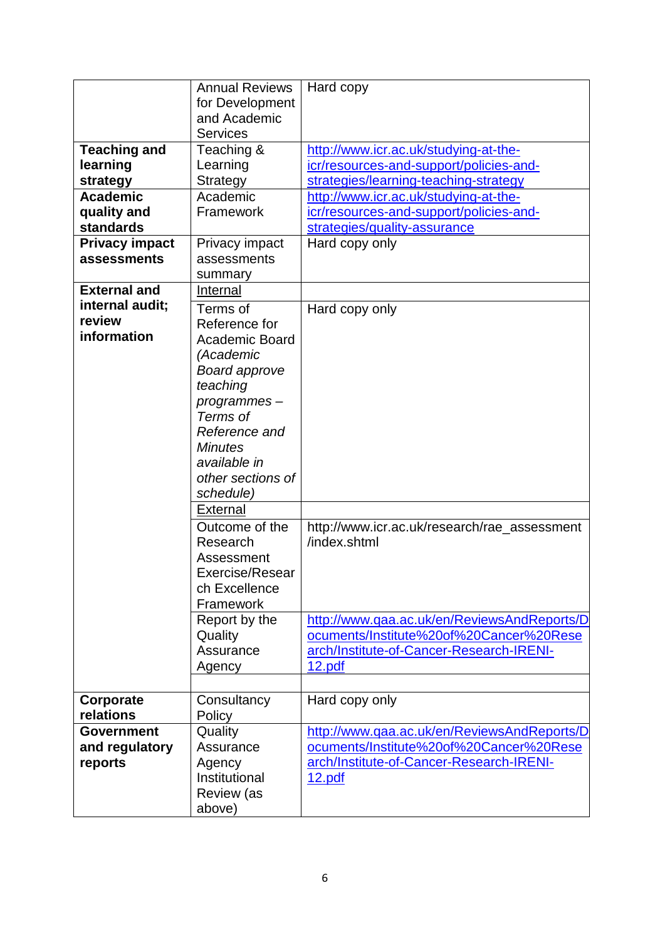| <b>Teaching and</b><br>learning<br>strategy<br><b>Academic</b><br>quality and<br>standards<br><b>Privacy impact</b> | <b>Annual Reviews</b><br>for Development<br>and Academic<br><b>Services</b><br>Teaching &<br>Learning<br>Strategy<br>Academic<br>Framework<br>Privacy impact                                                                                                                                                                                                                | Hard copy<br>http://www.icr.ac.uk/studying-at-the-<br>icr/resources-and-support/policies-and-<br>strategies/learning-teaching-strategy<br>http://www.icr.ac.uk/studying-at-the-<br>icr/resources-and-support/policies-and-<br>strategies/quality-assurance<br>Hard copy only |
|---------------------------------------------------------------------------------------------------------------------|-----------------------------------------------------------------------------------------------------------------------------------------------------------------------------------------------------------------------------------------------------------------------------------------------------------------------------------------------------------------------------|------------------------------------------------------------------------------------------------------------------------------------------------------------------------------------------------------------------------------------------------------------------------------|
| assessments                                                                                                         | assessments<br>summary                                                                                                                                                                                                                                                                                                                                                      |                                                                                                                                                                                                                                                                              |
| <b>External and</b><br>internal audit;<br>review<br>information                                                     | Internal<br>Terms of<br>Reference for<br><b>Academic Board</b><br>(Academic<br><b>Board approve</b><br>teaching<br>programmes-<br>Terms of<br>Reference and<br><b>Minutes</b><br>available in<br>other sections of<br>schedule)<br><b>External</b><br>Outcome of the<br>Research<br>Assessment<br>Exercise/Resear<br>ch Excellence<br>Framework<br>Report by the<br>Quality | Hard copy only<br>http://www.icr.ac.uk/research/rae_assessment<br>/index.shtml<br>http://www.qaa.ac.uk/en/ReviewsAndReports/D<br>ocuments/Institute%20of%20Cancer%20Rese                                                                                                     |
|                                                                                                                     | Assurance<br>Agency                                                                                                                                                                                                                                                                                                                                                         | arch/Institute-of-Cancer-Research-IRENI-<br>12.pdf                                                                                                                                                                                                                           |
| Corporate<br>relations                                                                                              | Consultancy<br>Policy                                                                                                                                                                                                                                                                                                                                                       | Hard copy only                                                                                                                                                                                                                                                               |
| <b>Government</b><br>and regulatory<br>reports                                                                      | Quality<br>Assurance<br>Agency<br>Institutional<br><b>Review</b> (as<br>above)                                                                                                                                                                                                                                                                                              | http://www.qaa.ac.uk/en/ReviewsAndReports/D<br>ocuments/Institute%20of%20Cancer%20Rese<br>arch/Institute-of-Cancer-Research-IRENI-<br>12.pdf                                                                                                                                 |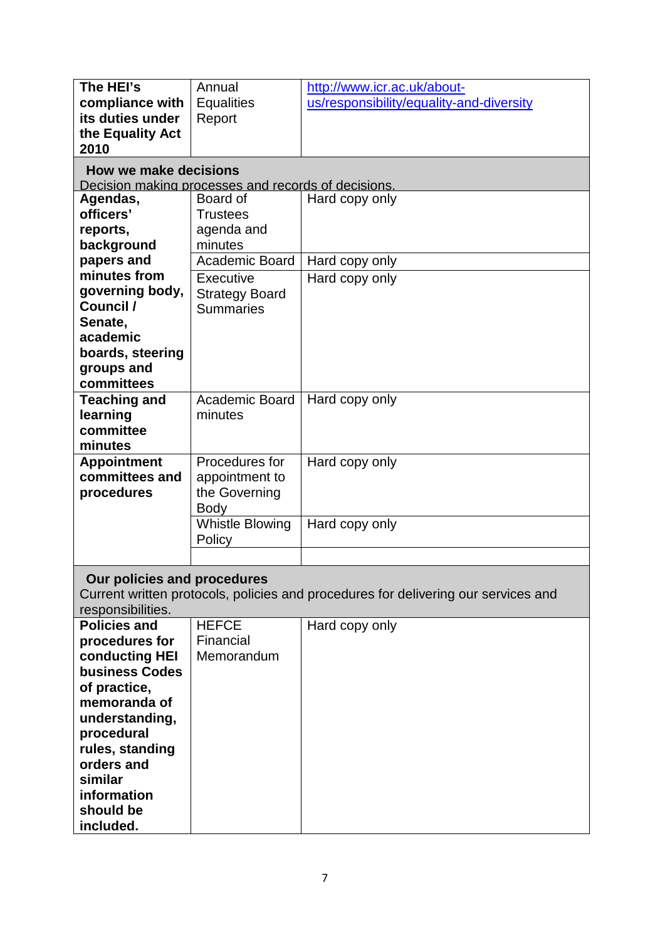<span id="page-6-1"></span><span id="page-6-0"></span>

| The HEI's                     | Annual                                              | http://www.icr.ac.uk/about-                                                        |
|-------------------------------|-----------------------------------------------------|------------------------------------------------------------------------------------|
| compliance with               | <b>Equalities</b>                                   | us/responsibility/equality-and-diversity                                           |
| its duties under              | Report                                              |                                                                                    |
| the Equality Act              |                                                     |                                                                                    |
| 2010                          |                                                     |                                                                                    |
|                               |                                                     |                                                                                    |
| <b>How we make decisions</b>  |                                                     |                                                                                    |
|                               | Decision making processes and records of decisions. |                                                                                    |
| Agendas,                      | Board of                                            | Hard copy only                                                                     |
| officers'                     | <b>Trustees</b>                                     |                                                                                    |
| reports,                      | agenda and                                          |                                                                                    |
| background                    | minutes                                             |                                                                                    |
| papers and                    | <b>Academic Board</b>                               | Hard copy only                                                                     |
| minutes from                  | Executive                                           | Hard copy only                                                                     |
| governing body,               | <b>Strategy Board</b>                               |                                                                                    |
| Council /                     | <b>Summaries</b>                                    |                                                                                    |
| Senate,                       |                                                     |                                                                                    |
| academic                      |                                                     |                                                                                    |
| boards, steering              |                                                     |                                                                                    |
| groups and                    |                                                     |                                                                                    |
| committees                    |                                                     |                                                                                    |
| <b>Teaching and</b>           | Academic Board                                      | Hard copy only                                                                     |
| learning                      | minutes                                             |                                                                                    |
| committee                     |                                                     |                                                                                    |
| minutes                       |                                                     |                                                                                    |
| <b>Appointment</b>            | Procedures for                                      | Hard copy only                                                                     |
| committees and                | appointment to                                      |                                                                                    |
| procedures                    | the Governing                                       |                                                                                    |
|                               | <b>Body</b>                                         |                                                                                    |
|                               | <b>Whistle Blowing</b>                              | Hard copy only                                                                     |
|                               | Policy                                              |                                                                                    |
|                               |                                                     |                                                                                    |
|                               |                                                     |                                                                                    |
| Our policies and procedures   |                                                     |                                                                                    |
|                               |                                                     | Current written protocols, policies and procedures for delivering our services and |
| responsibilities.             |                                                     |                                                                                    |
| <b>Policies and</b>           | <b>HEFCE</b>                                        | Hard copy only                                                                     |
| procedures for                | Financial                                           |                                                                                    |
| conducting HEI                | Memorandum                                          |                                                                                    |
| <b>business Codes</b>         |                                                     |                                                                                    |
|                               |                                                     |                                                                                    |
| of practice,                  |                                                     |                                                                                    |
| memoranda of                  |                                                     |                                                                                    |
| understanding,                |                                                     |                                                                                    |
| procedural                    |                                                     |                                                                                    |
|                               |                                                     |                                                                                    |
| rules, standing<br>orders and |                                                     |                                                                                    |
| similar                       |                                                     |                                                                                    |
|                               |                                                     |                                                                                    |
| information<br>should be      |                                                     |                                                                                    |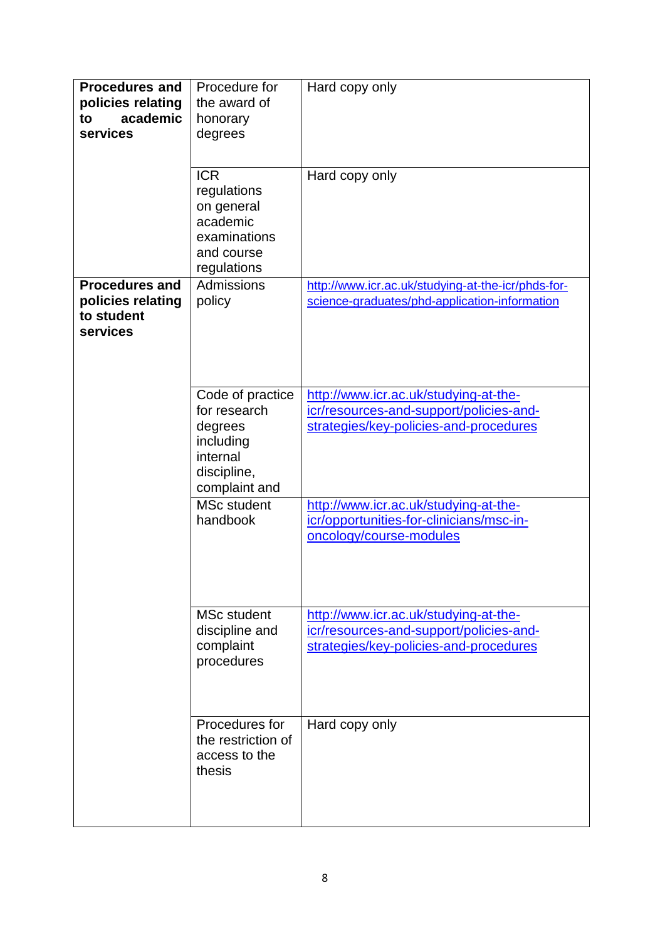| <b>Procedures and</b><br>policies relating<br>academic<br>to<br>services | Procedure for<br>the award of<br>honorary<br>degrees                                                 | Hard copy only                                                                                                             |
|--------------------------------------------------------------------------|------------------------------------------------------------------------------------------------------|----------------------------------------------------------------------------------------------------------------------------|
|                                                                          | <b>ICR</b><br>regulations<br>on general<br>academic<br>examinations<br>and course<br>regulations     | Hard copy only                                                                                                             |
| <b>Procedures and</b><br>policies relating<br>to student<br>services     | Admissions<br>policy                                                                                 | http://www.icr.ac.uk/studying-at-the-icr/phds-for-<br>science-graduates/phd-application-information                        |
|                                                                          | Code of practice<br>for research<br>degrees<br>including<br>internal<br>discipline,<br>complaint and | http://www.icr.ac.uk/studying-at-the-<br>icr/resources-and-support/policies-and-<br>strategies/key-policies-and-procedures |
|                                                                          | <b>MSc student</b><br>handbook                                                                       | http://www.icr.ac.uk/studying-at-the-<br>icr/opportunities-for-clinicians/msc-in-<br>oncology/course-modules               |
|                                                                          | <b>MSc student</b><br>discipline and<br>complaint<br>procedures                                      | http://www.icr.ac.uk/studying-at-the-<br>icr/resources-and-support/policies-and-<br>strategies/key-policies-and-procedures |
|                                                                          | Procedures for<br>the restriction of<br>access to the<br>thesis                                      | Hard copy only                                                                                                             |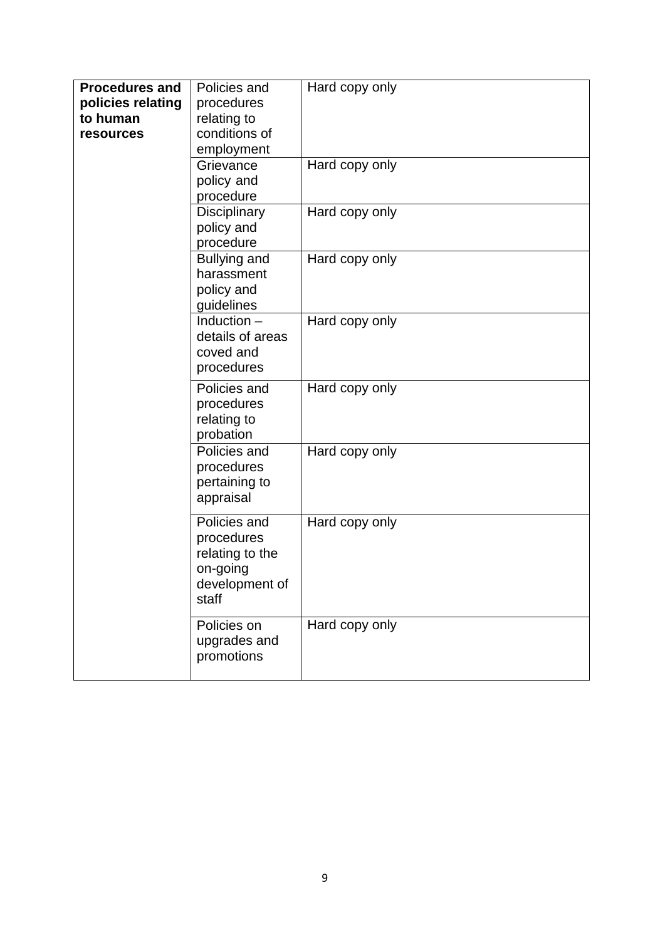| <b>Procedures and</b> | Policies and        | Hard copy only |
|-----------------------|---------------------|----------------|
| policies relating     | procedures          |                |
| to human              | relating to         |                |
| resources             | conditions of       |                |
|                       | employment          |                |
|                       | Grievance           | Hard copy only |
|                       | policy and          |                |
|                       | procedure           |                |
|                       | Disciplinary        | Hard copy only |
|                       | policy and          |                |
|                       | procedure           |                |
|                       | <b>Bullying and</b> | Hard copy only |
|                       | harassment          |                |
|                       | policy and          |                |
|                       | guidelines          |                |
|                       | Induction $-$       | Hard copy only |
|                       | details of areas    |                |
|                       | coved and           |                |
|                       |                     |                |
|                       | procedures          |                |
|                       | Policies and        | Hard copy only |
|                       | procedures          |                |
|                       | relating to         |                |
|                       | probation           |                |
|                       | Policies and        | Hard copy only |
|                       | procedures          |                |
|                       | pertaining to       |                |
|                       | appraisal           |                |
|                       |                     |                |
|                       | Policies and        | Hard copy only |
|                       | procedures          |                |
|                       | relating to the     |                |
|                       | on-going            |                |
|                       | development of      |                |
|                       | staff               |                |
|                       | Policies on         | Hard copy only |
|                       | upgrades and        |                |
|                       | promotions          |                |
|                       |                     |                |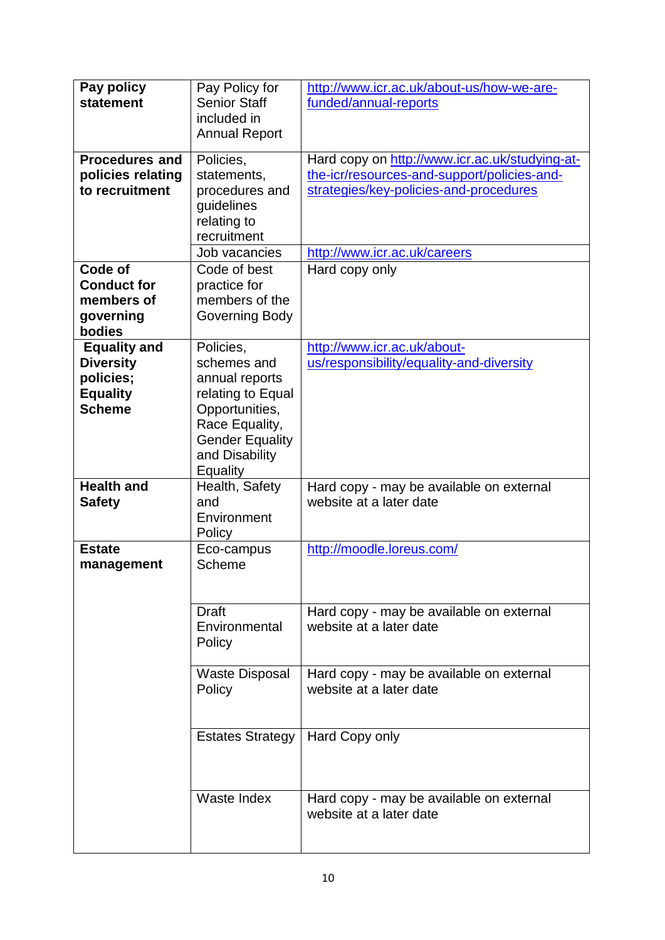| Pay policy<br>statement                                                                  | Pay Policy for<br><b>Senior Staff</b><br>included in<br><b>Annual Report</b>                                                                                | http://www.icr.ac.uk/about-us/how-we-are-<br>funded/annual-reports                                                                                                      |
|------------------------------------------------------------------------------------------|-------------------------------------------------------------------------------------------------------------------------------------------------------------|-------------------------------------------------------------------------------------------------------------------------------------------------------------------------|
| <b>Procedures and</b><br>policies relating<br>to recruitment                             | Policies,<br>statements,<br>procedures and<br>guidelines<br>relating to<br>recruitment<br>Job vacancies                                                     | Hard copy on http://www.icr.ac.uk/studying-at-<br>the-icr/resources-and-support/policies-and-<br>strategies/key-policies-and-procedures<br>http://www.icr.ac.uk/careers |
| Code of<br><b>Conduct for</b><br>members of<br>governing<br>bodies                       | Code of best<br>practice for<br>members of the<br>Governing Body                                                                                            | Hard copy only                                                                                                                                                          |
| <b>Equality and</b><br><b>Diversity</b><br>policies;<br><b>Equality</b><br><b>Scheme</b> | Policies,<br>schemes and<br>annual reports<br>relating to Equal<br>Opportunities,<br>Race Equality,<br><b>Gender Equality</b><br>and Disability<br>Equality | http://www.icr.ac.uk/about-<br>us/responsibility/equality-and-diversity                                                                                                 |
| <b>Health and</b><br><b>Safety</b>                                                       | Health, Safety<br>and<br>Environment<br>Policy                                                                                                              | Hard copy - may be available on external<br>website at a later date                                                                                                     |
| <b>Estate</b><br>management                                                              | Eco-campus<br>Scheme                                                                                                                                        | http://moodle.loreus.com/                                                                                                                                               |
|                                                                                          | <b>Draft</b><br>Environmental<br>Policy                                                                                                                     | Hard copy - may be available on external<br>website at a later date                                                                                                     |
|                                                                                          | <b>Waste Disposal</b><br>Policy                                                                                                                             | Hard copy - may be available on external<br>website at a later date                                                                                                     |
|                                                                                          | <b>Estates Strategy</b>                                                                                                                                     | Hard Copy only                                                                                                                                                          |
|                                                                                          | Waste Index                                                                                                                                                 | Hard copy - may be available on external<br>website at a later date                                                                                                     |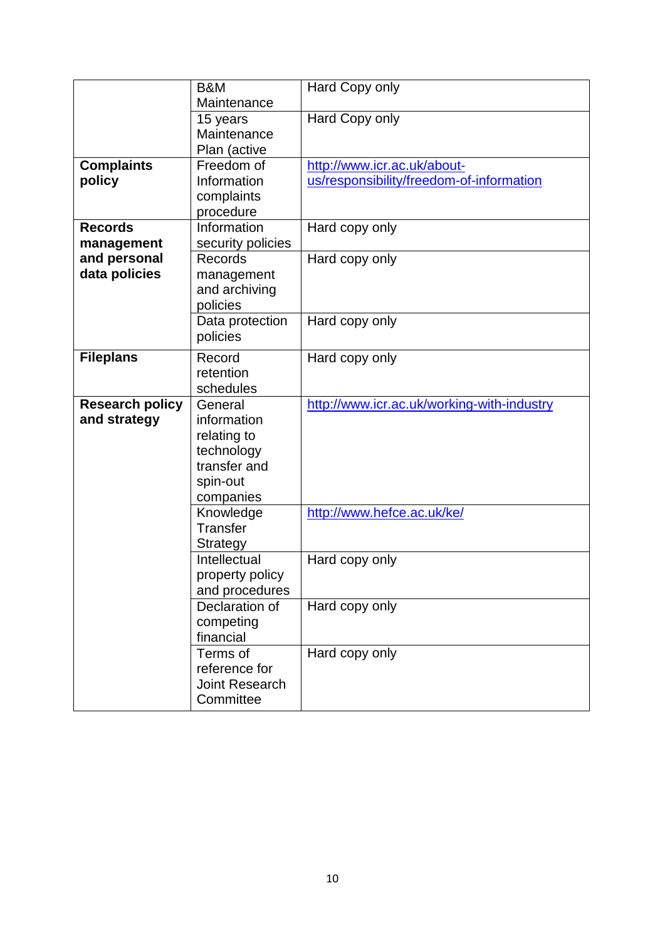|                        | B&M                   | Hard Copy only                             |
|------------------------|-----------------------|--------------------------------------------|
|                        | Maintenance           |                                            |
|                        | 15 years              | Hard Copy only                             |
|                        | Maintenance           |                                            |
|                        | Plan (active          |                                            |
| <b>Complaints</b>      | Freedom of            | http://www.icr.ac.uk/about-                |
| policy                 | Information           | us/responsibility/freedom-of-information   |
|                        | complaints            |                                            |
|                        | procedure             |                                            |
| <b>Records</b>         | Information           | Hard copy only                             |
| management             | security policies     |                                            |
| and personal           | Records               | Hard copy only                             |
| data policies          | management            |                                            |
|                        | and archiving         |                                            |
|                        | policies              |                                            |
|                        | Data protection       | Hard copy only                             |
|                        | policies              |                                            |
| <b>Fileplans</b>       | Record                | Hard copy only                             |
|                        | retention             |                                            |
|                        | schedules             |                                            |
| <b>Research policy</b> | General               | http://www.icr.ac.uk/working-with-industry |
| and strategy           | information           |                                            |
|                        | relating to           |                                            |
|                        | technology            |                                            |
|                        | transfer and          |                                            |
|                        | spin-out              |                                            |
|                        | companies             |                                            |
|                        | Knowledge             | http://www.hefce.ac.uk/ke/                 |
|                        | Transfer              |                                            |
|                        | <b>Strategy</b>       |                                            |
|                        | Intellectual          | Hard copy only                             |
|                        | property policy       |                                            |
|                        | and procedures        |                                            |
|                        | Declaration of        | Hard copy only                             |
|                        | competing             |                                            |
|                        | financial             |                                            |
|                        | Terms of              | Hard copy only                             |
|                        | reference for         |                                            |
|                        | <b>Joint Research</b> |                                            |
|                        | Committee             |                                            |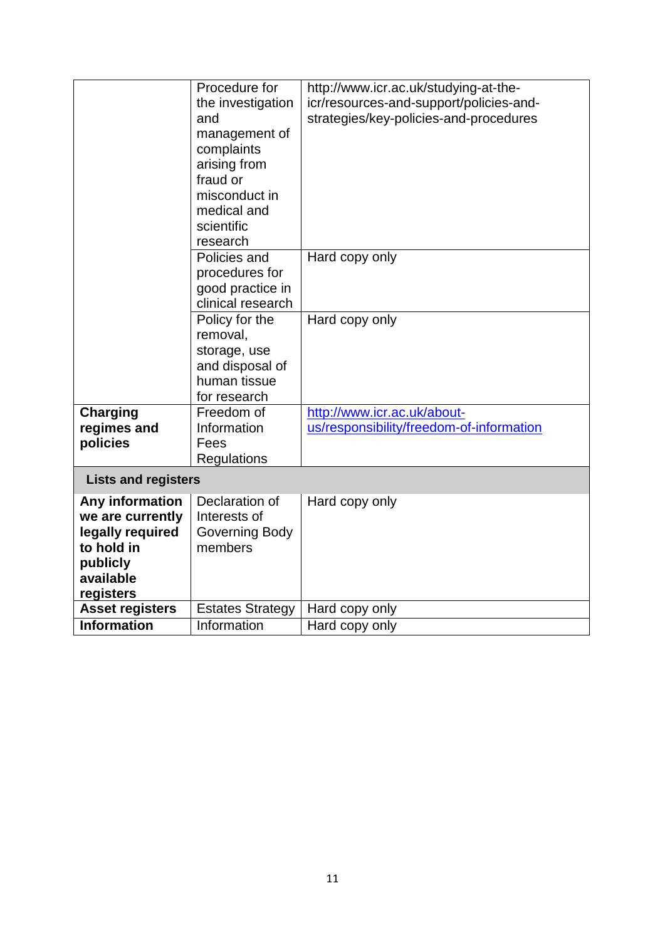<span id="page-11-0"></span>

|                                                                                                             | Procedure for<br>the investigation<br>and<br>management of<br>complaints<br>arising from<br>fraud or<br>misconduct in | http://www.icr.ac.uk/studying-at-the-<br>icr/resources-and-support/policies-and-<br>strategies/key-policies-and-procedures |
|-------------------------------------------------------------------------------------------------------------|-----------------------------------------------------------------------------------------------------------------------|----------------------------------------------------------------------------------------------------------------------------|
|                                                                                                             | medical and<br>scientific<br>research                                                                                 |                                                                                                                            |
|                                                                                                             | Policies and<br>procedures for<br>good practice in<br>clinical research                                               | Hard copy only                                                                                                             |
|                                                                                                             | Policy for the<br>removal,<br>storage, use<br>and disposal of<br>human tissue<br>for research                         | Hard copy only                                                                                                             |
| <b>Charging</b><br>regimes and<br>policies                                                                  | Freedom of<br>Information<br>Fees<br>Regulations                                                                      | http://www.icr.ac.uk/about-<br>us/responsibility/freedom-of-information                                                    |
| <b>Lists and registers</b>                                                                                  |                                                                                                                       |                                                                                                                            |
| Any information<br>we are currently<br>legally required<br>to hold in<br>publicly<br>available<br>registers | Declaration of<br>Interests of<br>Governing Body<br>members                                                           | Hard copy only                                                                                                             |
| <b>Asset registers</b>                                                                                      | <b>Estates Strategy</b>                                                                                               | Hard copy only                                                                                                             |
| <b>Information</b>                                                                                          | Information                                                                                                           | Hard copy only                                                                                                             |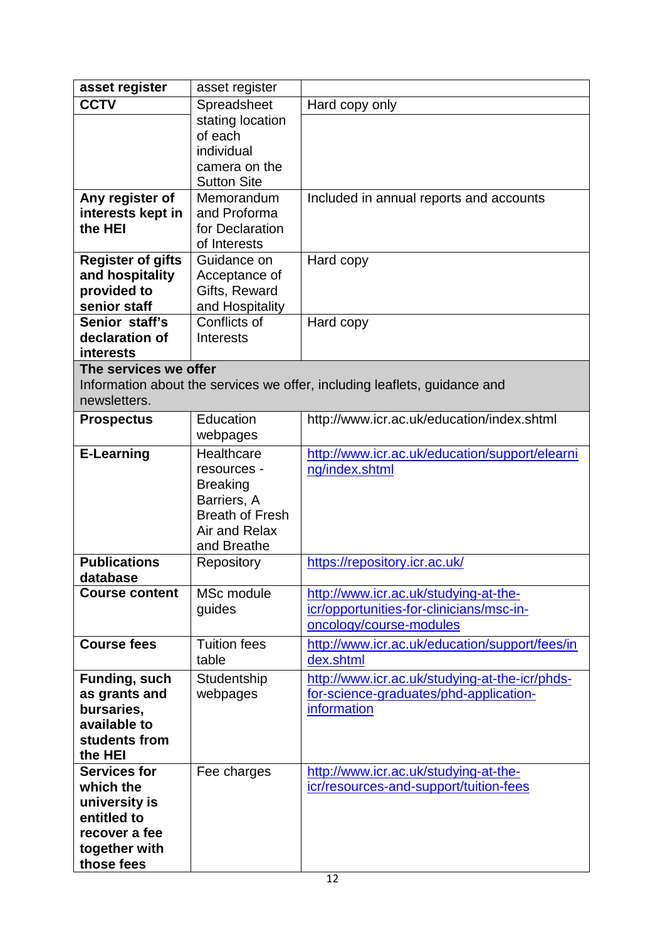| asset register                                                                                                   | asset register                                                                                                        |                                                                                                              |
|------------------------------------------------------------------------------------------------------------------|-----------------------------------------------------------------------------------------------------------------------|--------------------------------------------------------------------------------------------------------------|
| <b>CCTV</b>                                                                                                      | Spreadsheet                                                                                                           | Hard copy only                                                                                               |
|                                                                                                                  | stating location<br>of each<br>individual<br>camera on the<br><b>Sutton Site</b>                                      |                                                                                                              |
| Any register of<br>interests kept in<br>the HEI                                                                  | Memorandum<br>and Proforma<br>for Declaration<br>of Interests                                                         | Included in annual reports and accounts                                                                      |
| <b>Register of gifts</b><br>and hospitality<br>provided to<br>senior staff                                       | Guidance on<br>Acceptance of<br>Gifts, Reward<br>and Hospitality                                                      | Hard copy                                                                                                    |
| Senior staff's<br>declaration of<br><b>interests</b>                                                             | Conflicts of<br><b>Interests</b>                                                                                      | Hard copy                                                                                                    |
| The services we offer                                                                                            |                                                                                                                       |                                                                                                              |
|                                                                                                                  |                                                                                                                       | Information about the services we offer, including leaflets, guidance and                                    |
| newsletters.                                                                                                     |                                                                                                                       |                                                                                                              |
| <b>Prospectus</b>                                                                                                | Education<br>webpages                                                                                                 | http://www.icr.ac.uk/education/index.shtml                                                                   |
| <b>E-Learning</b>                                                                                                | Healthcare<br>resources -<br><b>Breaking</b><br>Barriers, A<br><b>Breath of Fresh</b><br>Air and Relax<br>and Breathe | http://www.icr.ac.uk/education/support/elearni<br>ng/index.shtml                                             |
| <b>Publications</b><br>database                                                                                  | Repository                                                                                                            | https://repository.icr.ac.uk/                                                                                |
| <b>Course content</b>                                                                                            | MSc module<br>guides                                                                                                  | http://www.icr.ac.uk/studying-at-the-<br>icr/opportunities-for-clinicians/msc-in-<br>oncology/course-modules |
| <b>Course fees</b>                                                                                               | <b>Tuition fees</b><br>table                                                                                          | http://www.icr.ac.uk/education/support/fees/in<br>dex.shtml                                                  |
| Funding, such<br>as grants and<br>bursaries,<br>available to<br>students from<br>the HEI                         | Studentship<br>webpages                                                                                               | http://www.icr.ac.uk/studying-at-the-icr/phds-<br>for-science-graduates/phd-application-<br>information      |
| <b>Services for</b><br>which the<br>university is<br>entitled to<br>recover a fee<br>together with<br>those fees | Fee charges                                                                                                           | http://www.icr.ac.uk/studying-at-the-<br>icr/resources-and-support/tuition-fees                              |